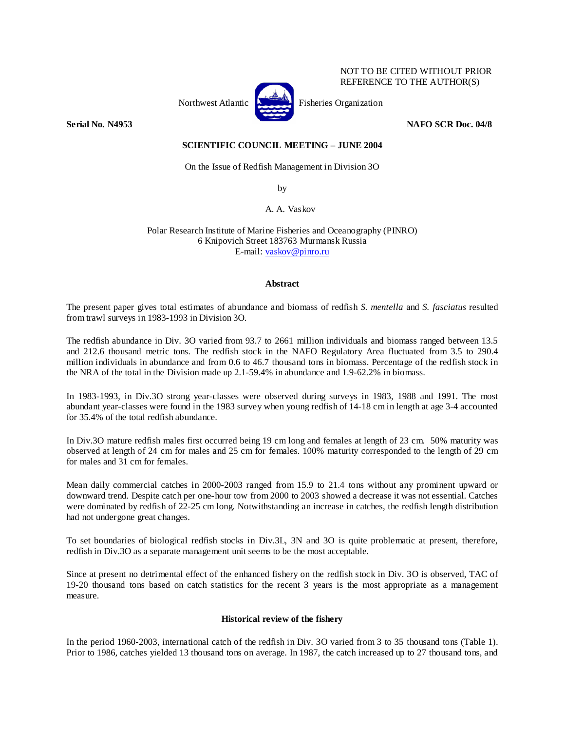

NOT TO BE CITED WITHOUT PRIOR REFERENCE TO THE AUTHOR(S)

# **Serial No. N4953** NAFO SCR Doc. 04/8

# **SCIENTIFIC COUNCIL MEETING – JUNE 2004**

On the Issue of Redfish Management in Division 3O

by

A. A. Vaskov

Polar Research Institute of Marine Fisheries and Oceanography (PINRO) 6 Knipovich Street 183763 Murmansk Russia E-mail: vaskov@pinro.ru

## **Abstract**

The present paper gives total estimates of abundance and biomass of redfish *S. mentella* and *S. fasciatus* resulted from trawl surveys in 1983-1993 in Division 3O.

The redfish abundance in Div. 3O varied from 93.7 to 2661 million individuals and biomass ranged between 13.5 and 212.6 thousand metric tons. The redfish stock in the NAFO Regulatory Area fluctuated from 3.5 to 290.4 million individuals in abundance and from 0.6 to 46.7 thousand tons in biomass. Percentage of the redfish stock in the NRA of the total in the Division made up 2.1-59.4% in abundance and 1.9-62.2% in biomass.

In 1983-1993, in Div.3O strong year-classes were observed during surveys in 1983, 1988 and 1991. The most abundant year-classes were found in the 1983 survey when young redfish of 14-18 cm in length at age 3-4 accounted for 35.4% of the total redfish abundance.

In Div.3O mature redfish males first occurred being 19 cm long and females at length of 23 cm. 50% maturity was observed at length of 24 cm for males and 25 cm for females. 100% maturity corresponded to the length of 29 cm for males and 31 cm for females.

Mean daily commercial catches in 2000-2003 ranged from 15.9 to 21.4 tons without any prominent upward or downward trend. Despite catch per one-hour tow from 2000 to 2003 showed a decrease it was not essential. Catches were dominated by redfish of 22-25 cm long. Notwithstanding an increase in catches, the redfish length distribution had not undergone great changes.

To set boundaries of biological redfish stocks in Div.3L, 3N and 3O is quite problematic at present, therefore, redfish in Div.3O as a separate management unit seems to be the most acceptable.

Since at present no detrimental effect of the enhanced fishery on the redfish stock in Div. 3O is observed, TAC of 19-20 thousand tons based on catch statistics for the recent 3 years is the most appropriate as a management measure.

# **Historical review of the fishery**

In the period 1960-2003, international catch of the redfish in Div. 3O varied from 3 to 35 thousand tons (Table 1). Prior to 1986, catches yielded 13 thousand tons on average. In 1987, the catch increased up to 27 thousand tons, and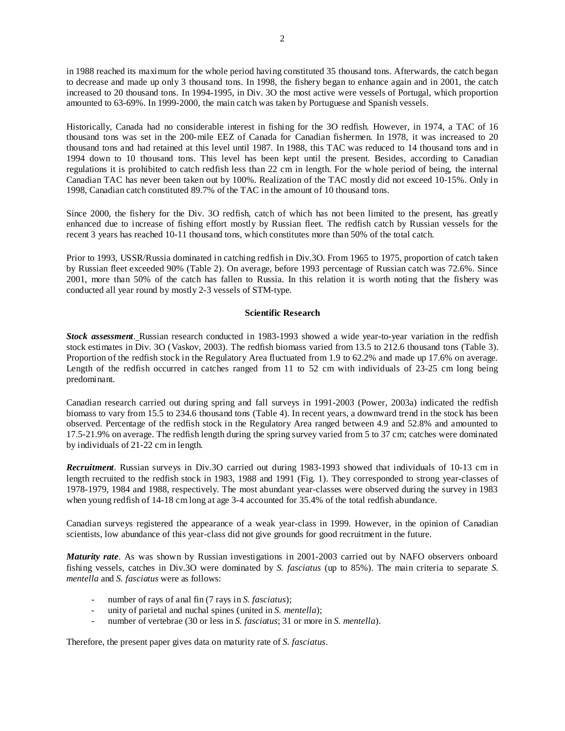in 1988 reached its maximum for the whole period having constituted 35 thousand tons. Afterwards, the catch began to decrease and made up only 3 thousand tons. In 1998, the fishery began to enhance again and in 2001, the catch increased to 20 thousand tons. In 1994-1995, in Div. 3O the most active were vessels of Portugal, which proportion amounted to 63-69%. In 1999-2000, the main catch was taken by Portuguese and Spanish vessels.

Historically, Canada had no considerable interest in fishing for the 3O redfish. However, in 1974, a TAC of 16 thousand tons was set in the 200-mile EEZ of Canada for Canadian fishermen. In 1978, it was increased to 20 thousand tons and had retained at this level until 1987. In 1988, this TAC was reduced to 14 thousand tons and in 1994 down to 10 thousand tons. This level has been kept until the present. Besides, according to Canadian regulations it is prohibited to catch redfish less than 22 cm in length. For the whole period of being, the internal Canadian TAC has never been taken out by 100%. Realization of the TAC mostly did not exceed 10-15%. Only in 1998, Canadian catch constituted 89.7% of the TAC in the amount of 10 thousand tons.

Since 2000, the fishery for the Div. 3O redfish, catch of which has not been limited to the present, has greatly enhanced due to increase of fishing effort mostly by Russian fleet. The redfish catch by Russian vessels for the recent 3 years has reached 10-11 thousand tons, which constitutes more than 50% of the total catch.

Prior to 1993, USSR/Russia dominated in catching redfish in Div.3O. From 1965 to 1975, proportion of catch taken by Russian fleet exceeded 90% (Table 2). On average, before 1993 percentage of Russian catch was 72.6%. Since 2001, more than 50% of the catch has fallen to Russia. In this relation it is worth noting that the fishery was conducted all year round by mostly 2-3 vessels of STM-type.

## **Scientific Research**

*Stock assessment*. Russian research conducted in 1983-1993 showed a wide year-to-year variation in the redfish stock estimates in Div. 3O (Vaskov, 2003). The redfish biomass varied from 13.5 to 212.6 thousand tons (Table 3). Proportion of the redfish stock in the Regulatory Area fluctuated from 1.9 to 62.2% and made up 17.6% on average. Length of the redfish occurred in catches ranged from 11 to 52 cm with individuals of 23-25 cm long being predominant.

Canadian research carried out during spring and fall surveys in 1991-2003 (Power, 2003a) indicated the redfish biomass to vary from 15.5 to 234.6 thousand tons (Table 4). In recent years, a downward trend in the stock has been observed. Percentage of the redfish stock in the Regulatory Area ranged between 4.9 and 52.8% and amounted to 17.5-21.9% on average. The redfish length during the spring survey varied from 5 to 37 cm; catches were dominated by individuals of 21-22 cm in length.

*Recruitment*. Russian surveys in Div.3O carried out during 1983-1993 showed that individuals of 10-13 cm in length recruited to the redfish stock in 1983, 1988 and 1991 (Fig. 1). They corresponded to strong year-classes of 1978-1979, 1984 and 1988, respectively. The most abundant year-classes were observed during the survey in 1983 when young redfish of 14-18 cm long at age 3-4 accounted for 35.4% of the total redfish abundance.

Canadian surveys registered the appearance of a weak year-class in 1999. However, in the opinion of Canadian scientists, low abundance of this year-class did not give grounds for good recruitment in the future.

*Maturity rate*. As was shown by Russian investigations in 2001-2003 carried out by NAFO observers onboard fishing vessels, catches in Div.3O were dominated by *S. fasciatus* (up to 85%). The main criteria to separate *S. mentella* and *S. fasciatus* were as follows:

- number of rays of anal fin (7 rays in *S. fasciatus*);
- unity of parietal and nuchal spines (united in *S. mentella*);
- number of vertebrae (30 or less in *S. fasciatus*; 31 or more in *S. mentella*).

Therefore, the present paper gives data on maturity rate of *S. fasciatus*.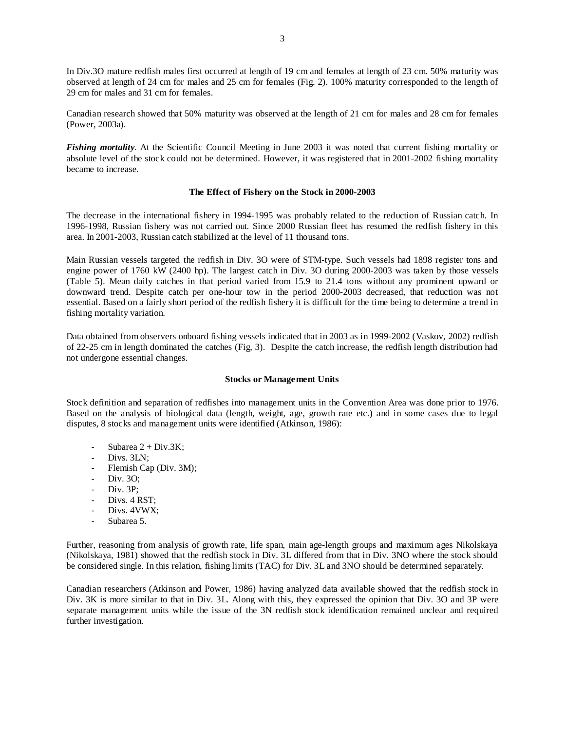In Div.3O mature redfish males first occurred at length of 19 cm and females at length of 23 cm. 50% maturity was observed at length of 24 cm for males and 25 cm for females (Fig. 2). 100% maturity corresponded to the length of 29 cm for males and 31 cm for females.

Canadian research showed that 50% maturity was observed at the length of 21 cm for males and 28 cm for females (Power, 2003a).

*Fishing mortality*. At the Scientific Council Meeting in June 2003 it was noted that current fishing mortality or absolute level of the stock could not be determined. However, it was registered that in 2001-2002 fishing mortality became to increase.

# **The Effect of Fishery on the Stock in 2000-2003**

The decrease in the international fishery in 1994-1995 was probably related to the reduction of Russian catch. In 1996-1998, Russian fishery was not carried out. Since 2000 Russian fleet has resumed the redfish fishery in this area. In 2001-2003, Russian catch stabilized at the level of 11 thousand tons.

Main Russian vessels targeted the redfish in Div. 3O were of STM-type. Such vessels had 1898 register tons and engine power of 1760 kW (2400 hp). The largest catch in Div. 3O during 2000-2003 was taken by those vessels (Table 5). Mean daily catches in that period varied from 15.9 to 21.4 tons without any prominent upward or downward trend. Despite catch per one-hour tow in the period 2000-2003 decreased, that reduction was not essential. Based on a fairly short period of the redfish fishery it is difficult for the time being to determine a trend in fishing mortality variation.

Data obtained from observers onboard fishing vessels indicated that in 2003 as in 1999-2002 (Vaskov, 2002) redfish of 22-25 cm in length dominated the catches (Fig, 3). Despite the catch increase, the redfish length distribution had not undergone essential changes.

## **Stocks or Management Units**

Stock definition and separation of redfishes into management units in the Convention Area was done prior to 1976. Based on the analysis of biological data (length, weight, age, growth rate etc.) and in some cases due to legal disputes, 8 stocks and management units were identified (Atkinson, 1986):

- Subarea  $2 + Div.3K$ :
- Divs. 3LN;
- Flemish Cap (Div. 3M);
- Div. 30:
- Div. 3P:
- Divs. 4 RST:
- Divs. 4VWX:
- Subarea 5.

Further, reasoning from analysis of growth rate, life span, main age-length groups and maximum ages Nikolskaya (Nikolskaya, 1981) showed that the redfish stock in Div. 3L differed from that in Div. 3NO where the stock should be considered single. In this relation, fishing limits (TAC) for Div. 3L and 3NO should be determined separately.

Canadian researchers (Atkinson and Power, 1986) having analyzed data available showed that the redfish stock in Div. 3K is more similar to that in Div. 3L. Along with this, they expressed the opinion that Div. 3O and 3P were separate management units while the issue of the 3N redfish stock identification remained unclear and required further investigation.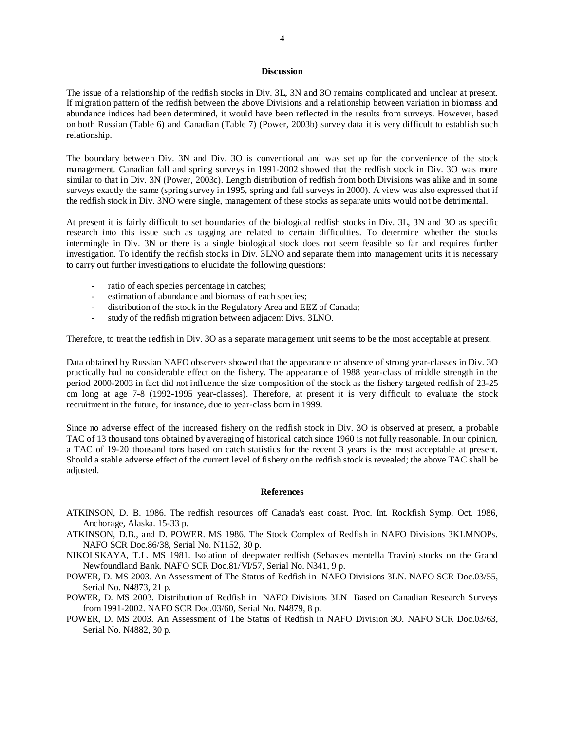## **Discussion**

The issue of a relationship of the redfish stocks in Div. 3L, 3N and 3O remains complicated and unclear at present. If migration pattern of the redfish between the above Divisions and a relationship between variation in biomass and abundance indices had been determined, it would have been reflected in the results from surveys. However, based on both Russian (Table 6) and Canadian (Table 7) (Power, 2003b) survey data it is very difficult to establish such relationship.

The boundary between Div. 3N and Div. 3O is conventional and was set up for the convenience of the stock management. Canadian fall and spring surveys in 1991-2002 showed that the redfish stock in Div. 3O was more similar to that in Div. 3N (Power, 2003c). Length distribution of redfish from both Divisions was alike and in some surveys exactly the same (spring survey in 1995, spring and fall surveys in 2000). A view was also expressed that if the redfish stock in Div. 3NO were single, management of these stocks as separate units would not be detrimental.

At present it is fairly difficult to set boundaries of the biological redfish stocks in Div. 3L, 3N and 3O as specific research into this issue such as tagging are related to certain difficulties. To determine whether the stocks intermingle in Div. 3N or there is a single biological stock does not seem feasible so far and requires further investigation. To identify the redfish stocks in Div. 3LNO and separate them into management units it is necessary to carry out further investigations to elucidate the following questions:

- ratio of each species percentage in catches;
- estimation of abundance and biomass of each species;
- distribution of the stock in the Regulatory Area and EEZ of Canada;
- study of the redfish migration between adjacent Divs. 3LNO.

Therefore, to treat the redfish in Div. 3O as a separate management unit seems to be the most acceptable at present.

Data obtained by Russian NAFO observers showed that the appearance or absence of strong year-classes in Div. 3O practically had no considerable effect on the fishery. The appearance of 1988 year-class of middle strength in the period 2000-2003 in fact did not influence the size composition of the stock as the fishery targeted redfish of 23-25 cm long at age 7-8 (1992-1995 year-classes). Therefore, at present it is very difficult to evaluate the stock recruitment in the future, for instance, due to year-class born in 1999.

Since no adverse effect of the increased fishery on the redfish stock in Div. 3O is observed at present, a probable TAC of 13 thousand tons obtained by averaging of historical catch since 1960 is not fully reasonable. In our opinion, a TAC of 19-20 thousand tons based on catch statistics for the recent 3 years is the most acceptable at present. Should a stable adverse effect of the current level of fishery on the redfish stock is revealed; the above TAC shall be adjusted.

#### **References**

ATKINSON, D. B. 1986. The redfish resources off Canada's east coast. Proc. Int. Rockfish Symp. Oct. 1986, Anchorage, Alaska. 15-33 p.

- ATKINSON, D.B., and D. POWER. MS 1986. The Stock Complex of Redfish in NAFO Divisions 3KLMNOPs. NAFO SCR Doc.86/38, Serial No. N1152, 30 p.
- NIKOLSKAYA, T.L. MS 1981. Isolation of deepwater redfish (Sebastes mentella Travin) stocks on the Grand Newfoundland Bank. NAFO SCR Doc.81/VI/57, Serial No. N341, 9 p.
- POWER, D. MS 2003. An Assessment of The Status of Redfish in NAFO Divisions 3LN. NAFO SCR Doc.03/55, Serial No. N4873, 21 p.
- POWER, D. MS 2003. Distribution of Redfish in NAFO Divisions 3LN Based on Canadian Research Surveys from 1991-2002. NAFO SCR Doc.03/60, Serial No. N4879, 8 p.
- POWER, D. MS 2003. An Assessment of The Status of Redfish in NAFO Division 3O. NAFO SCR Doc.03/63, Serial No. N4882, 30 p.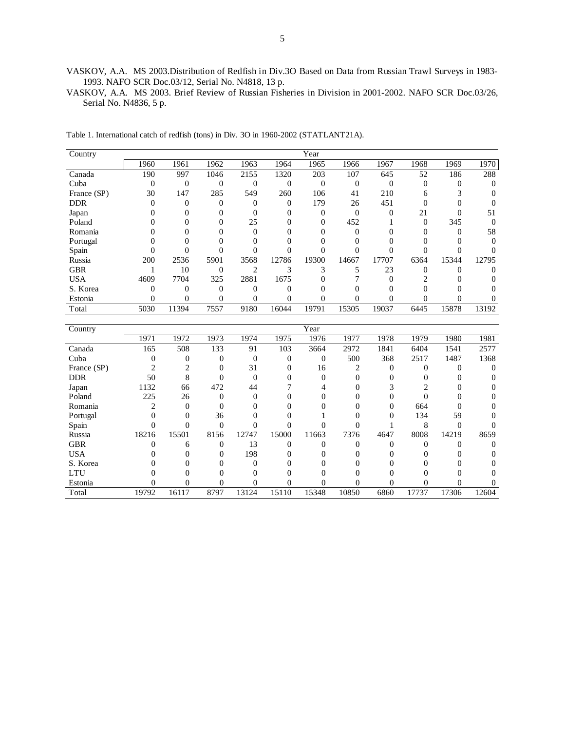VASKOV, A.A. MS 2003.Distribution of Redfish in Div.3O Based on Data from Russian Trawl Surveys in 1983- 1993. NAFO SCR Doc.03/12, Serial No. N4818, 13 p.

VASKOV, A.A. MS 2003. Brief Review of Russian Fisheries in Division in 2001-2002. NAFO SCR Doc.03/26, Serial No. N4836, 5 p.

| Country     |                  |                  |                  |                  |                  | Year             |                  |                  |                  |                  |                  |
|-------------|------------------|------------------|------------------|------------------|------------------|------------------|------------------|------------------|------------------|------------------|------------------|
|             | 1960             | 1961             | 1962             | 1963             | 1964             | 1965             | 1966             | 1967             | 1968             | 1969             | 1970             |
| Canada      | 190              | 997              | 1046             | 2155             | 1320             | 203              | 107              | 645              | 52               | 186              | 288              |
| Cuba        | $\boldsymbol{0}$ | $\boldsymbol{0}$ | $\boldsymbol{0}$ | $\boldsymbol{0}$ | $\mathbf{0}$     | $\boldsymbol{0}$ | $\boldsymbol{0}$ | $\boldsymbol{0}$ | $\boldsymbol{0}$ | $\boldsymbol{0}$ | $\theta$         |
| France (SP) | 30               | 147              | 285              | 549              | 260              | 106              | 41               | 210              | 6                | 3                | $\overline{0}$   |
| <b>DDR</b>  | $\overline{0}$   | $\overline{0}$   | $\overline{0}$   | $\mathbf{0}$     | $\overline{0}$   | 179              | 26               | 451              | $\mathbf{0}$     | $\overline{0}$   | $\overline{0}$   |
| Japan       | $\theta$         | $\overline{0}$   | $\mathbf{0}$     | $\overline{0}$   | $\theta$         | $\boldsymbol{0}$ | $\overline{0}$   | $\boldsymbol{0}$ | 21               | $\overline{0}$   | 51               |
| Poland      | $\theta$         | 0                | $\Omega$         | 25               | $\Omega$         | $\overline{0}$   | 452              | 1                | $\mathbf{0}$     | 345              | $\overline{0}$   |
| Romania     | 0                | 0                | $\Omega$         | $\Omega$         | $\Omega$         | $\Omega$         | $\mathbf{0}$     | $\mathbf{0}$     | $\Omega$         | $\overline{0}$   | 58               |
| Portugal    | $\overline{0}$   | 0                | $\Omega$         | $\Omega$         | $\overline{0}$   | $\theta$         | $\overline{0}$   | 0                | $\mathbf{0}$     | $\boldsymbol{0}$ | $\mathbf{0}$     |
| Spain       | $\overline{0}$   | $\theta$         | $\Omega$         | $\theta$         | $\overline{0}$   | $\mathbf{0}$     | $\overline{0}$   | $\overline{0}$   | $\boldsymbol{0}$ | $\overline{0}$   | $\theta$         |
| Russia      | 200              | 2536             | 5901             | 3568             | 12786            | 19300            | 14667            | 17707            | 6364             | 15344            | 12795            |
| <b>GBR</b>  | 1                | 10               | $\overline{0}$   | $\overline{2}$   | 3                | 3                | 5                | 23               | $\boldsymbol{0}$ | $\overline{0}$   | $\overline{0}$   |
| <b>USA</b>  | 4609             | 7704             | 325              | 2881             | 1675             | $\mathbf{0}$     | 7                | $\boldsymbol{0}$ | $\overline{c}$   | $\boldsymbol{0}$ | $\overline{0}$   |
| S. Korea    | $\overline{0}$   | $\overline{0}$   | $\overline{0}$   | $\overline{0}$   | $\overline{0}$   | $\overline{0}$   | $\overline{0}$   | $\overline{0}$   | $\mathbf{0}$     | $\overline{0}$   | $\overline{0}$   |
| Estonia     | $\overline{0}$   | 0                | $\overline{0}$   | $\overline{0}$   | $\overline{0}$   | $\overline{0}$   | $\Omega$         | $\theta$         | 0                | $\overline{0}$   | $\Omega$         |
| Total       | 5030             | 11394            | 7557             | 9180             | 16044            | 19791            | 15305            | 19037            | 6445             | 15878            | 13192            |
|             |                  |                  |                  |                  |                  |                  |                  |                  |                  |                  |                  |
| Country     |                  |                  |                  |                  |                  | Year             |                  |                  |                  |                  |                  |
|             | 1971             | 1972             | 1973             | 1974             | 1975             | 1976             | 1977             | 1978             | 1979             | 1980             | 1981             |
| Canada      | 165              | $\overline{508}$ | 133              | 91               | 103              | 3664             | 2972             | 1841             | 6404             | 1541             | 2577             |
| Cuba        | $\boldsymbol{0}$ | $\boldsymbol{0}$ | $\boldsymbol{0}$ | $\boldsymbol{0}$ | $\boldsymbol{0}$ | $\boldsymbol{0}$ | 500              | 368              | 2517             | 1487             | 1368             |
| France (SP) | $\overline{c}$   | $\overline{2}$   | $\overline{0}$   | 31               | 0                | 16               | 2                | $\overline{0}$   | $\overline{0}$   | $\overline{0}$   | $\overline{0}$   |
| <b>DDR</b>  | 50               | 8                | $\overline{0}$   | $\mathbf{0}$     | $\overline{0}$   | $\boldsymbol{0}$ | $\mathbf{0}$     | $\overline{0}$   | 0                | $\boldsymbol{0}$ | $\theta$         |
| Japan       | 1132             | 66               | 472              | 44               | 7                | 4                | $\mathbf{0}$     | 3                | $\overline{c}$   | $\overline{0}$   | $\theta$         |
| Poland      | 225              | 26               | $\mathbf{0}$     | $\Omega$         | 0                | $\overline{0}$   | $\Omega$         | $\theta$         | $\theta$         | $\overline{0}$   | $\Omega$         |
| Romania     | $\overline{c}$   | $\theta$         | $\Omega$         | $\Omega$         | $\Omega$         | $\theta$         | $\theta$         | $\overline{0}$   | 664              | $\theta$         | $\Omega$         |
| Portugal    | $\Omega$         | $\theta$         | 36               | $\Omega$         | $\theta$         | 1                | $\Omega$         | $\overline{0}$   | 134              | 59               | $\Omega$         |
| Spain       | $\theta$         | $\theta$         | $\mathbf{0}$     | $\overline{0}$   | $\theta$         | $\overline{0}$   | $\overline{0}$   | 1                | 8                | $\overline{0}$   | $\Omega$         |
| Russia      | 18216            | 15501            | 8156             | 12747            | 15000            | 11663            | 7376             | 4647             | 8008             | 14219            | 8659             |
| <b>GBR</b>  | $\overline{0}$   | 6                | $\boldsymbol{0}$ | 13               | $\boldsymbol{0}$ | $\boldsymbol{0}$ | $\boldsymbol{0}$ | $\boldsymbol{0}$ | $\boldsymbol{0}$ | $\boldsymbol{0}$ | $\boldsymbol{0}$ |
| <b>USA</b>  | $\Omega$         | $\overline{0}$   | $\mathbf{0}$     | 198              | $\Omega$         | 0                | $\overline{0}$   | $\overline{0}$   | $\Omega$         | $\overline{0}$   | $\overline{0}$   |
| S. Korea    | $\theta$         | $\overline{0}$   | 0                | $\overline{0}$   | $\theta$         | $\overline{0}$   | $\overline{0}$   | $\overline{0}$   | $\overline{0}$   | $\overline{0}$   | $\overline{0}$   |
| <b>LTU</b>  | $\theta$         | $\overline{0}$   | $\overline{0}$   | $\overline{0}$   | $\theta$         | $\overline{0}$   | $\overline{0}$   | $\overline{0}$   | $\overline{0}$   | $\overline{0}$   | 0                |
| Estonia     | $\theta$         | $\overline{0}$   | 0                | $\theta$         | $\overline{0}$   | $\overline{0}$   | $\theta$         | $\overline{0}$   | $\theta$         | $\theta$         | $\overline{0}$   |
| Total       | 19792            | 16117            | 8797             | 13124            | 15110            | 15348            | 10850            | 6860             | 17737            | 17306            | 12604            |

Table 1. International catch of redfish (tons) in Div. 3O in 1960-2002 (STATLANT21A).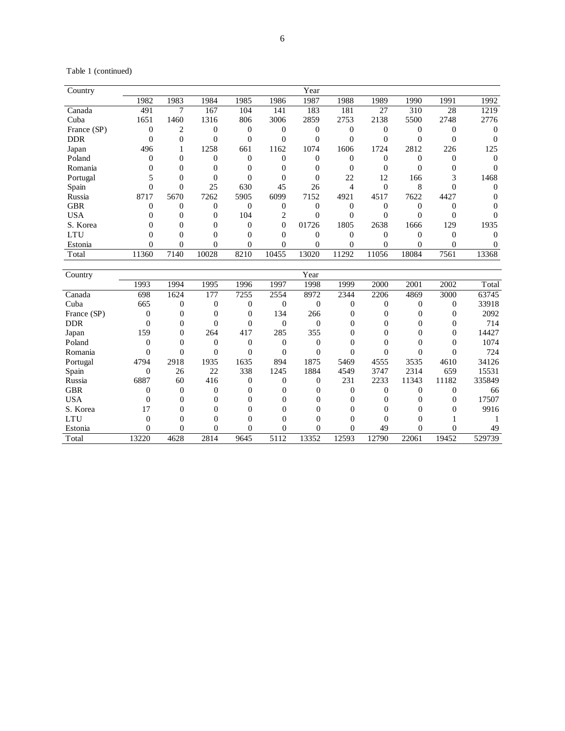Table 1 (continued)

| Country     |          |      |       |      |          | Year  |       |       |       |      |       |
|-------------|----------|------|-------|------|----------|-------|-------|-------|-------|------|-------|
|             | 1982     | 1983 | 1984  | 1985 | 1986     | 1987  | 1988  | 1989  | 1990  | 1991 | 1992  |
| Canada      | 491      | ⇁    | 167   | 104  | 141      | 183   | 181   | 27    | 310   | 28   | 1219  |
| Cuba        | 1651     | 1460 | 1316  | 806  | 3006     | 2859  | 2753  | 2138  | 5500  | 2748 | 2776  |
| France (SP) | $\theta$ | 2    |       | 0    | 0        |       |       |       |       |      |       |
| <b>DDR</b>  | $\Omega$ |      |       | 0    | 0        |       |       |       |       |      |       |
| Japan       | 496      |      | 1258  | 661  | 1162     | 1074  | 1606  | 1724  | 2812  | 226  | 125   |
| Poland      |          |      |       |      |          |       |       |       |       |      |       |
| Romania     |          |      |       |      |          |       |       |       |       |      |       |
| Portugal    |          |      |       |      |          | 0     | 22    | 12    | 166   |      | 1468  |
| Spain       |          |      | 25    | 630  | 45       | 26    |       |       | 8     |      |       |
| Russia      | 8717     | 5670 | 7262  | 5905 | 6099     | 7152  | 4921  | 4517  | 7622  | 4427 |       |
| <b>GBR</b>  |          |      |       | 0    |          |       |       |       |       |      |       |
| <b>USA</b>  |          |      | 0     | 104  |          |       |       |       |       |      |       |
| S. Korea    |          |      |       |      | $\Omega$ | 01726 | 1805  | 2638  | 1666  | 129  | 1935  |
| LTU         |          |      |       |      |          |       |       |       |       |      |       |
| Estonia     | $\theta$ |      | 0     |      | 0        |       |       |       |       |      |       |
| Total       | 11360    | 7140 | 10028 | 8210 | 10455    | 13020 | 11292 | 11056 | 18084 | 7561 | 13368 |

| Country     |          |          |      |          |          | Year  |          |       |       |          |        |
|-------------|----------|----------|------|----------|----------|-------|----------|-------|-------|----------|--------|
|             | 1993     | 1994     | 1995 | 1996     | 1997     | 1998  | 1999     | 2000  | 2001  | 2002     | Total  |
| Canada      | 698      | 1624     | 177  | 7255     | 2554     | 8972  | 2344     | 2206  | 4869  | 3000     | 63745  |
| Cuba        | 665      | $\Omega$ | 0    | 0        | $\Omega$ | 0     | $\theta$ |       |       | $\Omega$ | 33918  |
| France (SP) | $\Omega$ |          |      | 0        | 134      | 266   |          |       |       |          | 2092   |
| <b>DDR</b>  | $\Omega$ | 0        |      |          | $\Omega$ | 0     |          |       |       |          | 714    |
| Japan       | 159      | $\Omega$ | 264  | 417      | 285      | 355   |          |       |       |          | 14427  |
| Poland      | $\Omega$ |          | 0    |          |          | 0     |          |       |       |          | 1074   |
| Romania     |          |          |      |          |          |       |          |       |       |          | 724    |
| Portugal    | 4794     | 2918     | 1935 | 1635     | 894      | 1875  | 5469     | 4555  | 3535  | 4610     | 34126  |
| Spain       | $\Omega$ | 26       | 22   | 338      | 1245     | 1884  | 4549     | 3747  | 2314  | 659      | 15531  |
| Russia      | 6887     | 60       | 416  | $\Omega$ |          | 0     | 231      | 2233  | 11343 | 11182    | 335849 |
| <b>GBR</b>  | 0        | $\Omega$ | 0    | 0        |          | 0     | 0        | 0     | 0     |          | 66     |
| <b>USA</b>  | 0        | $\Omega$ | 0    |          |          |       |          |       |       |          | 17507  |
| S. Korea    | 17       |          |      |          |          |       |          |       |       |          | 9916   |
| <b>LTU</b>  |          |          |      |          |          |       |          |       |       |          |        |
| Estonia     |          | 0        |      |          |          |       |          | 49    |       |          | 49     |
| Total       | 13220    | 4628     | 2814 | 9645     | 5112     | 13352 | 12593    | 12790 | 22061 | 19452    | 529739 |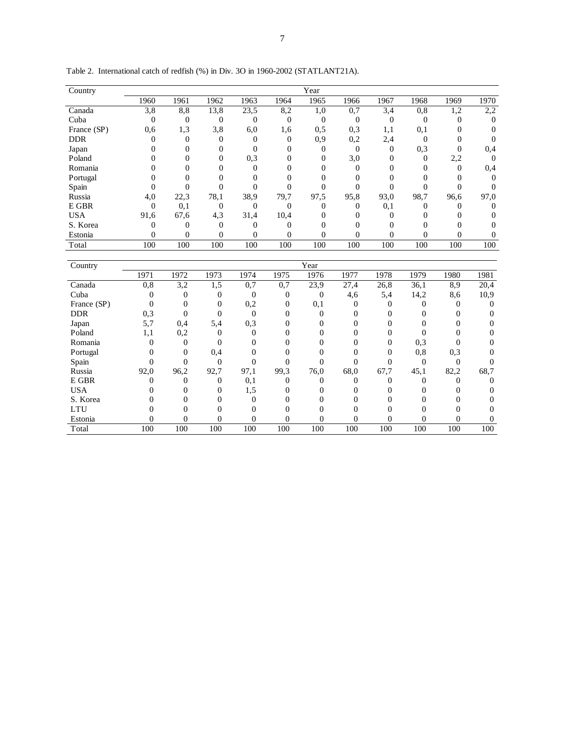| Country     |          |                |                |              |              | Year     |          |          |      |          |          |
|-------------|----------|----------------|----------------|--------------|--------------|----------|----------|----------|------|----------|----------|
|             |          |                |                |              |              |          |          |          |      |          |          |
|             | 1960     | 1961           | 1962           | 1963         | 1964         | 1965     | 1966     | 1967     | 1968 | 1969     | 1970     |
| Canada      | 3,8      | 8,8            | 13,8           | 23,5         | 8,2          | 1,0      | 0,7      | 3,4      | 0,8  | 1,2      | 2,2      |
| Cuba        | $\Omega$ | $\overline{0}$ | $\overline{0}$ | $\mathbf{0}$ | $\mathbf{0}$ | $\theta$ | $\Omega$ | $\theta$ | 0    | 0        | $\Omega$ |
| France (SP) | 0.6      | 1,3            | 3,8            | 6,0          | 1,6          | 0,5      | 0,3      | 1,1      | 0,1  | 0        |          |
| <b>DDR</b>  |          |                |                | 0            | $\mathbf{0}$ | 0,9      | 0,2      | 2,4      | 0    | 0        |          |
| Japan       |          |                |                | 0            | $\Omega$     | 0        | 0        | $\theta$ | 0,3  |          | 0,4      |
| Poland      |          |                | $\Omega$       | 0,3          | 0            | $\theta$ | 3,0      | $\Omega$ | 0    | 2,2      | $\Omega$ |
| Romania     |          |                |                |              |              | 0        | 0        | 0        | 0    | $\Omega$ | 0,4      |
| Portugal    |          |                |                |              |              |          |          |          |      |          |          |
| Spain       |          |                |                |              |              |          |          |          |      |          |          |
| Russia      | 4,0      | 22,3           | 78,1           | 38,9         | 79,7         | 97,5     | 95,8     | 93,0     | 98,7 | 96.6     | 97,0     |
| E GBR       | $\Omega$ | 0,1            | $\Omega$       | $\Omega$     | $\Omega$     | 0        | 0        | 0,1      |      |          | 0        |
| <b>USA</b>  | 91,6     | 67,6           | 4,3            | 31,4         | 10,4         |          |          |          |      |          |          |
| S. Korea    | 0        | 0              | $\Omega$       | $\Omega$     | $\Omega$     | 0        |          | 0        |      |          |          |
| Estonia     | $\Omega$ | $\theta$       | $\Omega$       | $\Omega$     | $\Omega$     | $\Omega$ | 0        | $\theta$ | 0    | $\Omega$ |          |
| Total       | 100      | 100            | 100            | 100          | 100          | 100      | 100      | 100      | 100  | 100      | 100      |

| Country     |      |          |          |      |          | Year           |      |      |      |      |      |
|-------------|------|----------|----------|------|----------|----------------|------|------|------|------|------|
|             | 1971 | 1972     | 1973     | 1974 | 1975     | 1976           | 1977 | 1978 | 1979 | 1980 | 1981 |
| Canada      | 0, 8 | 3,2      | 1,5      | 0,7  | 0,7      | 23,9           | 27,4 | 26,8 | 36,1 | 8,9  | 20,4 |
| Cuba        |      | $\Omega$ | 0        | 0    | 0        | 0              | 4,6  | 5,4  | 14,2 | 8,6  | 10,9 |
| France (SP) |      |          |          | 0,2  | 0        | 0,1            |      |      |      |      |      |
| <b>DDR</b>  | 0,3  |          |          |      |          |                |      |      |      |      |      |
| Japan       | 5,7  | 0,4      | 5,4      | 0,3  |          |                |      |      |      |      |      |
| Poland      | 1,1  | 0,2      |          |      |          |                |      |      |      |      |      |
| Romania     |      | 0        |          |      |          |                |      | 0    | 0,3  |      |      |
| Portugal    |      | $\Omega$ | 0,4      |      |          |                |      |      | 0,8  | 0,3  |      |
| Spain       |      |          |          |      |          |                |      |      |      |      |      |
| Russia      | 92,0 | 96,2     | 92,7     | 97,1 | 99,3     | 76,0           | 68,0 | 67,7 | 45,1 | 82,2 | 68,7 |
| E GBR       |      | 0        | $\Omega$ | 0,1  | 0        |                |      |      |      |      |      |
| <b>USA</b>  |      |          |          | 1,5  |          |                |      |      |      |      |      |
| S. Korea    |      |          |          |      |          |                |      |      |      |      |      |
| <b>LTU</b>  |      |          |          |      |          |                |      |      |      |      |      |
| Estonia     |      | 0        | 0        | 0    | $\theta$ | $\overline{0}$ | 0    | 0    |      | 0    |      |
| Total       | 100  | 100      | 100      | 100  | 100      | 100            | 100  | 100  | 100  | 100  | 100  |

Table 2. International catch of redfish (%) in Div. 3O in 1960-2002 (STATLANT21A).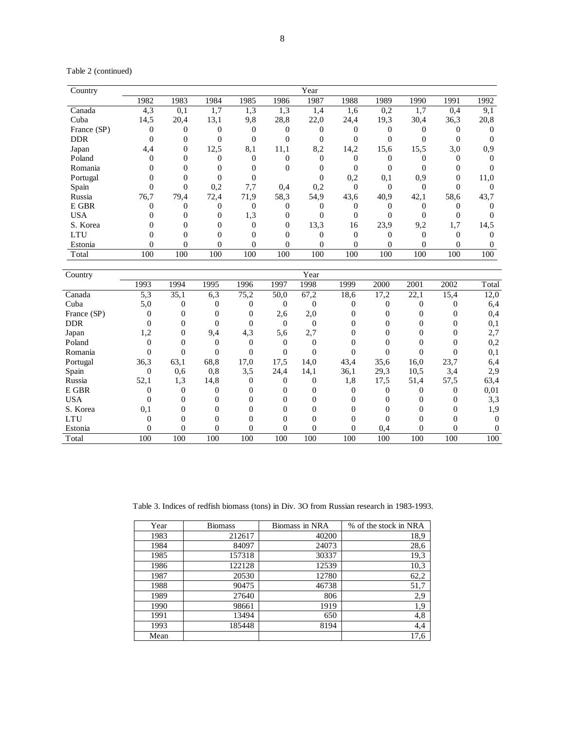Table 2 (continued)

| Country     |              |          |      |      |          | Year |          |      |          |      |      |
|-------------|--------------|----------|------|------|----------|------|----------|------|----------|------|------|
|             | 1982         | 1983     | 1984 | 1985 | 1986     | 1987 | 1988     | 1989 | 1990     | 1991 | 1992 |
| Canada      | 4,3          | 0,1      | 1,7  | 1,3  | 1,3      | 1,4  | 1,6      | 0,2  | 1,7      | 0,4  | 9,1  |
| Cuba        | 14,5         | 20,4     | 13,1 | 9,8  | 28,8     | 22,0 | 24,4     | 19.3 | 30,4     | 36,3 | 20,8 |
| France (SP) | $\mathbf{0}$ |          |      |      |          |      |          |      |          |      |      |
| <b>DDR</b>  |              |          |      |      |          |      |          |      |          |      |      |
| Japan       | 4,4          | $\Omega$ | 12,5 | 8,1  | 11,1     | 8,2  | 14,2     | 15,6 | 15,5     | 3,0  | 0.9  |
| Poland      |              |          |      |      |          |      |          |      |          |      |      |
| Romania     |              |          |      |      | 0        |      |          |      |          |      |      |
| Portugal    |              |          |      |      |          |      | 0,2      | 0,1  | 0,9      | 0    | 11,0 |
| Spain       |              | 0        | 0,2  | 7,7  | 0,4      | 0,2  | 0        | 0    | $\Omega$ |      |      |
| Russia      | 76,7         | 79,4     | 72,4 | 71,9 | 58,3     | 54,9 | 43,6     | 40,9 | 42,1     | 58,6 | 43,7 |
| E GBR       |              |          |      | 0    | 0        |      |          |      |          |      |      |
| <b>USA</b>  |              |          | 0    | 1,3  | $\Omega$ |      |          |      |          |      |      |
| S. Korea    |              |          |      | 0    | 0        | 13,3 | 16       | 23,9 | 9,2      | 1,7  | 14,5 |
| <b>LTU</b>  |              |          |      |      |          |      | $\Omega$ |      |          |      |      |
| Estonia     |              | 0        | 0    | 0    | 0        | 0    | 0        |      |          |      |      |
| Total       | 100          | 100      | 100  | 100  | 100      | 100  | 100      | 100  | 100      | 100  | 100  |

| Country     |              |          |      |      |          | Year     |      |      |      |      |       |
|-------------|--------------|----------|------|------|----------|----------|------|------|------|------|-------|
|             | 1993         | 1994     | 1995 | 1996 | 1997     | 1998     | 1999 | 2000 | 2001 | 2002 | Total |
| Canada      | 5,3          | 35,1     | 6,3  | 75,2 | 50,0     | 67,2     | 18.6 | 17,2 | 22,1 | 15,4 | 12,0  |
| Cuba        | 5,0          | 0        | 0    |      | $\Omega$ | $\theta$ |      |      |      | 0    | 6,4   |
| France (SP) | $\Omega$     | 0        | 0    | 0    | 2,6      | 2,0      |      | 0    |      |      | 0,4   |
| <b>DDR</b>  |              | 0        | 0    |      | $\Omega$ | $\Omega$ |      | 0    |      |      | 0,1   |
| Japan       | 1,2          | $\Omega$ | 9,4  | 4,3  | 5,6      | 2,7      |      | 0    |      |      | 2,7   |
| Poland      | 0            |          | 0    |      |          | $\Omega$ |      | 0    |      |      | 0,2   |
| Romania     |              |          |      |      |          |          |      |      |      |      | 0,1   |
| Portugal    | 36,3         | 63,1     | 68,8 | 17,0 | 17.5     | 14,0     | 43,4 | 35,6 | 16,0 | 23,7 | 6,4   |
| Spain       | $\mathbf{0}$ | 0,6      | 0,8  | 3,5  | 24,4     | 14,1     | 36,1 | 29,3 | 10,5 | 3,4  | 2,9   |
| Russia      | 52,1         | 1,3      | 14,8 | 0    | 0        | $\Omega$ | 1,8  | 17,5 | 51,4 | 57,5 | 63,4  |
| E GBR       | 0            |          | 0    |      |          | 0        |      | 0    |      | 0    | 0,01  |
| <b>USA</b>  | $\Omega$     |          | 0    |      |          |          |      | 0    |      | 0    | 3,3   |
| S. Korea    | 0,1          |          | 0    |      |          |          |      |      |      |      | 1,9   |
| <b>LTU</b>  |              |          |      |      |          |          |      |      |      |      |       |
| Estonia     | 0            | $\Omega$ | 0    |      |          | $\Omega$ |      | 0,4  |      |      |       |
| Total       | 100          | 100      | 100  | 100  | 100      | 100      | 100  | 100  | 100  | 100  | 100   |

Table 3. Indices of redfish biomass (tons) in Div. 3O from Russian research in 1983-1993.

| Year | <b>Biomass</b> | Biomass in NRA | % of the stock in NRA |
|------|----------------|----------------|-----------------------|
| 1983 | 212617         | 40200          | 18,9                  |
| 1984 | 84097          | 24073          | 28,6                  |
| 1985 | 157318         | 30337          | 19,3                  |
| 1986 | 122128         | 12539          | 10,3                  |
| 1987 | 20530          | 12780          | 62,2                  |
| 1988 | 90475          | 46738          | 51,7                  |
| 1989 | 27640          | 806            | 2,9                   |
| 1990 | 98661          | 1919           | 1,9                   |
| 1991 | 13494          | 650            | 4,8                   |
| 1993 | 185448         | 8194           | 4,4                   |
| Mean |                |                | 17,6                  |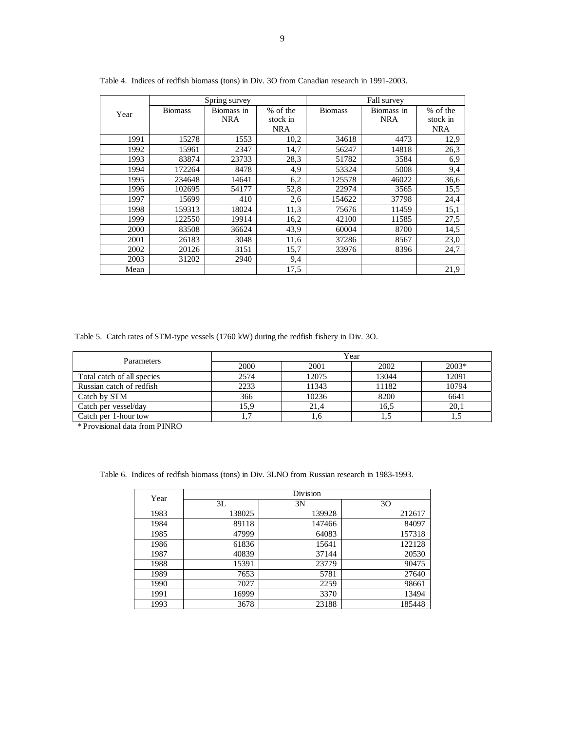|      |                | Spring survey |            |                | Fall survey |            |
|------|----------------|---------------|------------|----------------|-------------|------------|
| Year | <b>Biomass</b> | Biomass in    | % of the   | <b>Biomass</b> | Biomass in  | % of the   |
|      |                | <b>NRA</b>    | stock in   |                | <b>NRA</b>  | stock in   |
|      |                |               | <b>NRA</b> |                |             | <b>NRA</b> |
| 1991 | 15278          | 1553          | 10,2       | 34618          | 4473        | 12,9       |
| 1992 | 15961          | 2347          | 14,7       | 56247          | 14818       | 26,3       |
| 1993 | 83874          | 23733         | 28,3       | 51782          | 3584        | 6,9        |
| 1994 | 172264         | 8478          | 4,9        | 53324          | 5008        | 9,4        |
| 1995 | 234648         | 14641         | 6,2        | 125578         | 46022       | 36,6       |
| 1996 | 102695         | 54177         | 52,8       | 22974          | 3565        | 15,5       |
| 1997 | 15699          | 410           | 2,6        | 154622         | 37798       | 24,4       |
| 1998 | 159313         | 18024         | 11,3       | 75676          | 11459       | 15,1       |
| 1999 | 122550         | 19914         | 16,2       | 42100          | 11585       | 27,5       |
| 2000 | 83508          | 36624         | 43,9       | 60004          | 8700        | 14,5       |
| 2001 | 26183          | 3048          | 11,6       | 37286          | 8567        | 23,0       |
| 2002 | 20126          | 3151          | 15,7       | 33976          | 8396        | 24,7       |
| 2003 | 31202          | 2940          | 9,4        |                |             |            |
| Mean |                |               | 17,5       |                |             | 21,9       |

Table 4. Indices of redfish biomass (tons) in Div. 3O from Canadian research in 1991-2003.

Table 5. Catch rates of STM-type vessels (1760 kW) during the redfish fishery in Div. 3O.

| Parameters                 | Year |       |       |         |  |  |  |  |  |
|----------------------------|------|-------|-------|---------|--|--|--|--|--|
|                            | 2000 | 2001  | 2002  | $2003*$ |  |  |  |  |  |
| Total catch of all species | 2574 | 12075 | 13044 | 12091   |  |  |  |  |  |
| Russian catch of redfish   | 2233 | 11343 | 11182 | 10794   |  |  |  |  |  |
| Catch by STM               | 366  | 10236 | 8200  | 6641    |  |  |  |  |  |
| Catch per vessel/day       | 15,9 | 21,4  | 16,5  | 20,1    |  |  |  |  |  |
| Catch per 1-hour tow       |      | L.O   | 1,5   |         |  |  |  |  |  |

\* Provisional data from PINRO

Table 6. Indices of redfish biomass (tons) in Div. 3LNO from Russian research in 1983-1993.

| Year |        | Division |        |
|------|--------|----------|--------|
|      | 3L     | 3N       | 30     |
| 1983 | 138025 | 139928   | 212617 |
| 1984 | 89118  | 147466   | 84097  |
| 1985 | 47999  | 64083    | 157318 |
| 1986 | 61836  | 15641    | 122128 |
| 1987 | 40839  | 37144    | 20530  |
| 1988 | 15391  | 23779    | 90475  |
| 1989 | 7653   | 5781     | 27640  |
| 1990 | 7027   | 2259     | 98661  |
| 1991 | 16999  | 3370     | 13494  |
| 1993 | 3678   | 23188    | 185448 |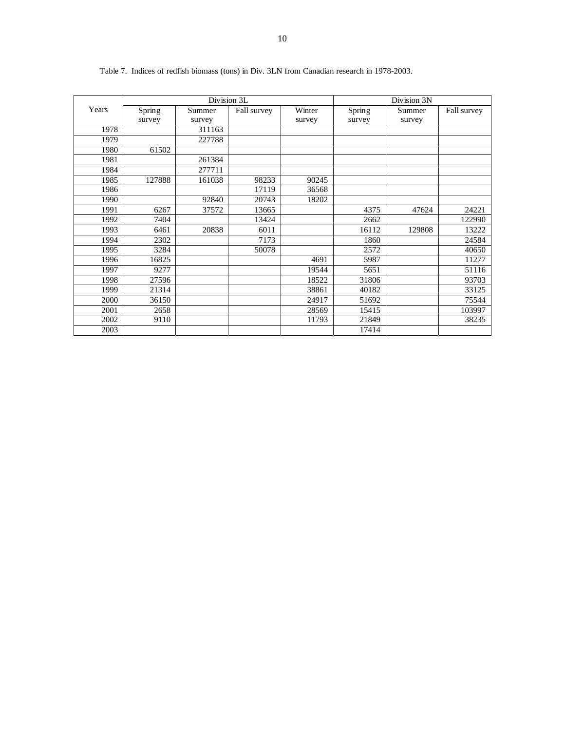|       |        | Division 3L |             |        |        | Division 3N |             |
|-------|--------|-------------|-------------|--------|--------|-------------|-------------|
| Years | Spring | Summer      | Fall survey | Winter | Spring | Summer      | Fall survey |
|       | survey | survey      |             | survey | survey | survey      |             |
| 1978  |        | 311163      |             |        |        |             |             |
| 1979  |        | 227788      |             |        |        |             |             |
| 1980  | 61502  |             |             |        |        |             |             |
| 1981  |        | 261384      |             |        |        |             |             |
| 1984  |        | 277711      |             |        |        |             |             |
| 1985  | 127888 | 161038      | 98233       | 90245  |        |             |             |
| 1986  |        |             | 17119       | 36568  |        |             |             |
| 1990  |        | 92840       | 20743       | 18202  |        |             |             |
| 1991  | 6267   | 37572       | 13665       |        | 4375   | 47624       | 24221       |
| 1992  | 7404   |             | 13424       |        | 2662   |             | 122990      |
| 1993  | 6461   | 20838       | 6011        |        | 16112  | 129808      | 13222       |
| 1994  | 2302   |             | 7173        |        | 1860   |             | 24584       |
| 1995  | 3284   |             | 50078       |        | 2572   |             | 40650       |
| 1996  | 16825  |             |             | 4691   | 5987   |             | 11277       |
| 1997  | 9277   |             |             | 19544  | 5651   |             | 51116       |
| 1998  | 27596  |             |             | 18522  | 31806  |             | 93703       |
| 1999  | 21314  |             |             | 38861  | 40182  |             | 33125       |
| 2000  | 36150  |             |             | 24917  | 51692  |             | 75544       |
| 2001  | 2658   |             |             | 28569  | 15415  |             | 103997      |
| 2002  | 9110   |             |             | 11793  | 21849  |             | 38235       |
| 2003  |        |             |             |        | 17414  |             |             |

Table 7. Indices of redfish biomass (tons) in Div. 3LN from Canadian research in 1978-2003.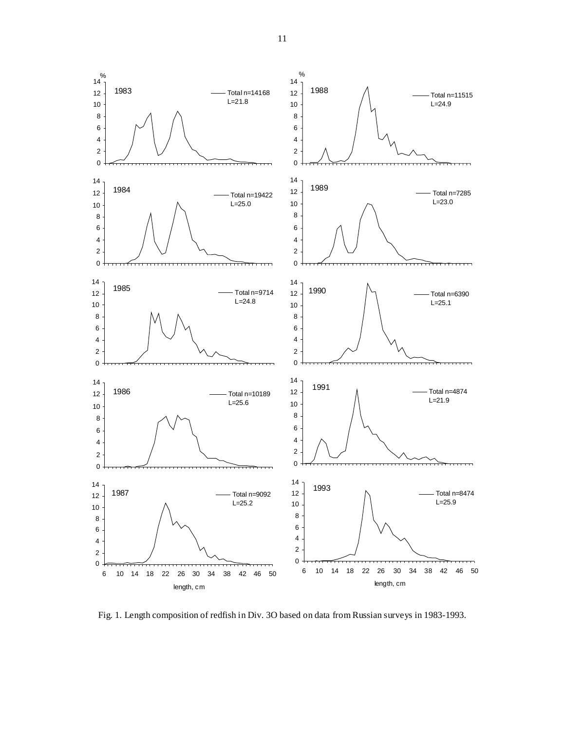

Fig. 1. Length composition of redfish in Div. 3O based on data from Russian surveys in 1983-1993.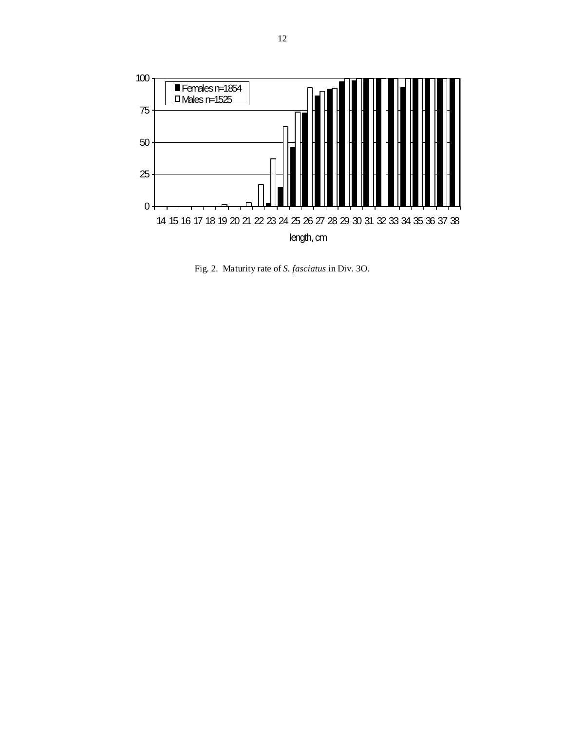

Fig. 2. Maturity rate of *S. fasciatus* in Div. 3O.